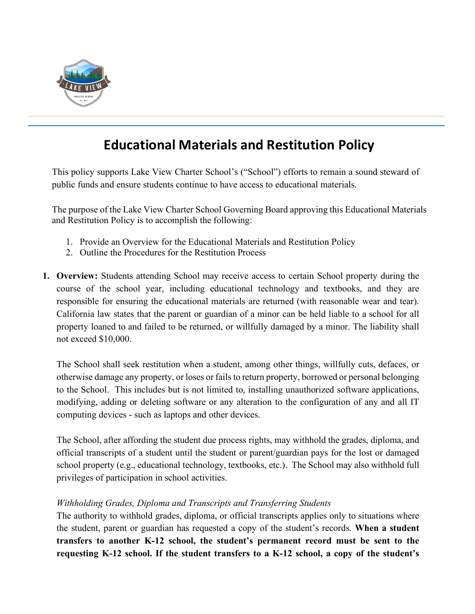

# **Educational Materials and Restitution Policy**

This policy supports Lake View Charter School's ("School") efforts to remain a sound steward of public funds and ensure students continue to have access to educational materials.

The purpose of the Lake View Charter School Governing Board approving this Educational Materials and Restitution Policy is to accomplish the following:

- 1. Provide an Overview for the Educational Materials and Restitution Policy
- 2. Outline the Procedures for the Restitution Process
- **1. Overview:** Students attending School may receive access to certain School property during the course of the school year, including educational technology and textbooks, and they are responsible for ensuring the educational materials are returned (with reasonable wear and tear). California law states that the parent or guardian of a minor can be held liable to a school for all property loaned to and failed to be returned, or willfully damaged by a minor. The liability shall not exceed \$10,000.

The School shall seek restitution when a student, among other things, willfully cuts, defaces, or otherwise damage any property, or loses or fails to return property, borrowed or personal belonging to the School. This includes but is not limited to, installing unauthorized software applications, modifying, adding or deleting software or any alteration to the configuration of any and all IT computing devices - such as laptops and other devices.

The School, after affording the student due process rights, may withhold the grades, diploma, and official transcripts of a student until the student or parent/guardian pays for the lost or damaged school property (e.g., educational technology, textbooks, etc.). The School may also withhold full privileges of participation in school activities.

# *Withholding Grades, Diploma and Transcripts and Transferring Students*

The authority to withhold grades, diploma, or official transcripts applies only to situations where the student, parent or guardian has requested a copy of the student's records. **When a student transfers to another K-12 school, the student's permanent record must be sent to the requesting K-12 school. If the student transfers to a K-12 school, a copy of the student's**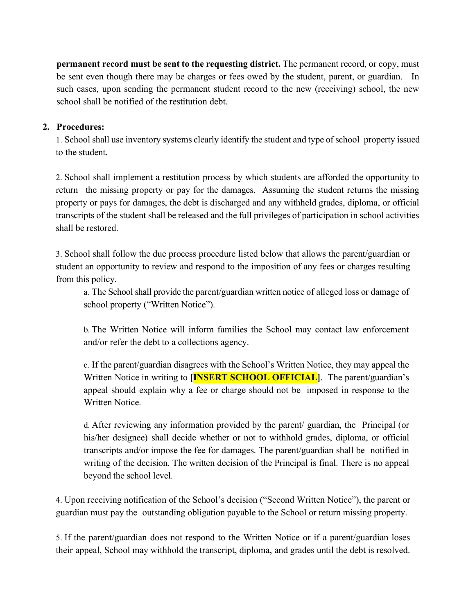**permanent record must be sent to the requesting district.** The permanent record, or copy, must be sent even though there may be charges or fees owed by the student, parent, or guardian. In such cases, upon sending the permanent student record to the new (receiving) school, the new school shall be notified of the restitution debt.

# **2. Procedures:**

1. School shall use inventory systems clearly identify the student and type of school property issued to the student.

2. School shall implement a restitution process by which students are afforded the opportunity to return the missing property or pay for the damages. Assuming the student returns the missing property or pays for damages, the debt is discharged and any withheld grades, diploma, or official transcripts of the student shall be released and the full privileges of participation in school activities shall be restored.

3. School shall follow the due process procedure listed below that allows the parent/guardian or student an opportunity to review and respond to the imposition of any fees or charges resulting from this policy.

a. The School shall provide the parent/guardian written notice of alleged loss or damage of school property ("Written Notice").

b. The Written Notice will inform families the School may contact law enforcement and/or refer the debt to a collections agency.

c. If the parent/guardian disagrees with the School's Written Notice, they may appeal the Written Notice in writing to **[INSERT SCHOOL OFFICIAL]**. The parent/guardian's appeal should explain why a fee or charge should not be imposed in response to the Written Notice.

d. After reviewing any information provided by the parent/ guardian, the Principal (or his/her designee) shall decide whether or not to withhold grades, diploma, or official transcripts and/or impose the fee for damages. The parent/guardian shall be notified in writing of the decision. The written decision of the Principal is final. There is no appeal beyond the school level.

4. Upon receiving notification of the School's decision ("Second Written Notice"), the parent or guardian must pay the outstanding obligation payable to the School or return missing property.

5. If the parent/guardian does not respond to the Written Notice or if a parent/guardian loses their appeal, School may withhold the transcript, diploma, and grades until the debt is resolved.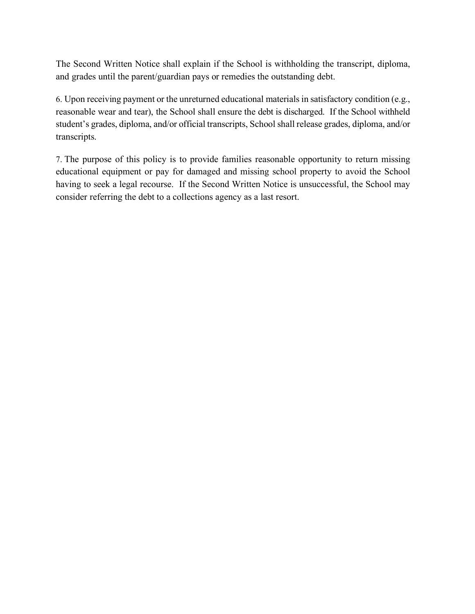The Second Written Notice shall explain if the School is withholding the transcript, diploma, and grades until the parent/guardian pays or remedies the outstanding debt.

6. Upon receiving payment or the unreturned educational materials in satisfactory condition (e.g., reasonable wear and tear), the School shall ensure the debt is discharged. If the School withheld student's grades, diploma, and/or official transcripts, School shall release grades, diploma, and/or transcripts.

7. The purpose of this policy is to provide families reasonable opportunity to return missing educational equipment or pay for damaged and missing school property to avoid the School having to seek a legal recourse. If the Second Written Notice is unsuccessful, the School may consider referring the debt to a collections agency as a last resort.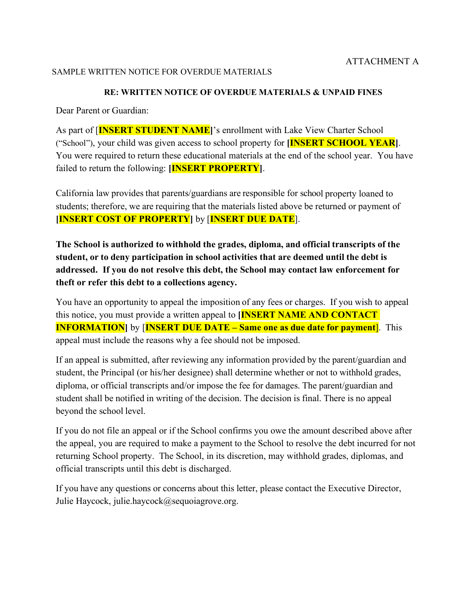#### SAMPLE WRITTEN NOTICE FOR OVERDUE MATERIALS

#### **RE: WRITTEN NOTICE OF OVERDUE MATERIALS & UNPAID FINES**

Dear Parent or Guardian:

As part of [**INSERT STUDENT NAME]**'s enrollment with Lake View Charter School ("School"), your child was given access to school property for **[INSERT SCHOOL YEAR]**. You were required to return these educational materials at the end of the school year. You have failed to return the following: **[INSERT PROPERTY]**.

California law provides that parents/guardians are responsible for school property loaned to students; therefore, we are requiring that the materials listed above be returned or payment of **[INSERT COST OF PROPERTY]** by [**INSERT DUE DATE**].

**The School is authorized to withhold the grades, diploma, and official transcripts of the student, or to deny participation in school activities that are deemed until the debt is addressed. If you do not resolve this debt, the School may contact law enforcement for theft or refer this debt to a collections agency.**

You have an opportunity to appeal the imposition of any fees or charges. If you wish to appeal this notice, you must provide a written appeal to **[INSERT NAME AND CONTACT INFORMATION** by **[INSERT DUE DATE – Same one as due date for payment**]. This appeal must include the reasons why a fee should not be imposed.

If an appeal is submitted, after reviewing any information provided by the parent/guardian and student, the Principal (or his/her designee) shall determine whether or not to withhold grades, diploma, or official transcripts and/or impose the fee for damages. The parent/guardian and student shall be notified in writing of the decision. The decision is final. There is no appeal beyond the school level.

If you do not file an appeal or if the School confirms you owe the amount described above after the appeal, you are required to make a payment to the School to resolve the debt incurred for not returning School property. The School, in its discretion, may withhold grades, diplomas, and official transcripts until this debt is discharged.

If you have any questions or concerns about this letter, please contact the Executive Director, Julie Haycock, julie.haycock@sequoiagrove.org.